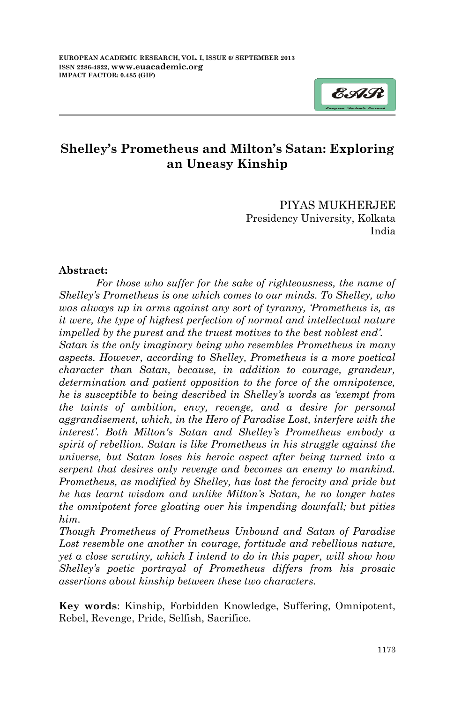

# **Shelley's Prometheus and Milton's Satan: Exploring an Uneasy Kinship**

PIYAS MUKHERJEE Presidency University, Kolkata India

#### **Abstract:**

*For those who suffer for the sake of righteousness, the name of Shelley's Prometheus is one which comes to our minds. To Shelley, who was always up in arms against any sort of tyranny, 'Prometheus is, as it were, the type of highest perfection of normal and intellectual nature impelled by the purest and the truest motives to the best noblest end'.* 

*Satan is the only imaginary being who resembles Prometheus in many aspects. However, according to Shelley, Prometheus is a more poetical character than Satan, because, in addition to courage, grandeur, determination and patient opposition to the force of the omnipotence, he is susceptible to being described in Shelley's words as 'exempt from the taints of ambition, envy, revenge, and a desire for personal aggrandisement, which, in the Hero of Paradise Lost, interfere with the interest'. Both Milton's Satan and Shelley's Prometheus embody a spirit of rebellion. Satan is like Prometheus in his struggle against the universe, but Satan loses his heroic aspect after being turned into a serpent that desires only revenge and becomes an enemy to mankind. Prometheus, as modified by Shelley, has lost the ferocity and pride but he has learnt wisdom and unlike Milton's Satan, he no longer hates the omnipotent force gloating over his impending downfall; but pities him.* 

*Though Prometheus of Prometheus Unbound and Satan of Paradise*  Lost resemble one another in courage, fortitude and rebellious nature, *yet a close scrutiny, which I intend to do in this paper, will show how Shelley's poetic portrayal of Prometheus differs from his prosaic assertions about kinship between these two characters.*

**Key words**: Kinship, Forbidden Knowledge, Suffering, Omnipotent, Rebel, Revenge, Pride, Selfish, Sacrifice.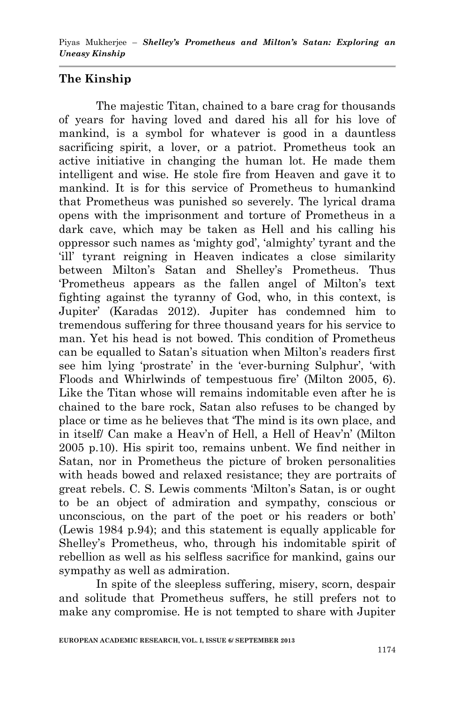# **The Kinship**

The majestic Titan, chained to a bare crag for thousands of years for having loved and dared his all for his love of mankind, is a symbol for whatever is good in a dauntless sacrificing spirit, a lover, or a patriot. Prometheus took an active initiative in changing the human lot. He made them intelligent and wise. He stole fire from Heaven and gave it to mankind. It is for this service of Prometheus to humankind that Prometheus was punished so severely. The lyrical drama opens with the imprisonment and torture of Prometheus in a dark cave, which may be taken as Hell and his calling his oppressor such names as "mighty god", "almighty" tyrant and the "ill" tyrant reigning in Heaven indicates a close similarity between Milton"s Satan and Shelley"s Prometheus. Thus "Prometheus appears as the fallen angel of Milton"s text fighting against the tyranny of God, who, in this context, is Jupiter" (Karadas 2012). Jupiter has condemned him to tremendous suffering for three thousand years for his service to man. Yet his head is not bowed. This condition of Prometheus can be equalled to Satan"s situation when Milton"s readers first see him lying 'prostrate' in the 'ever-burning Sulphur', 'with Floods and Whirlwinds of tempestuous fire' (Milton 2005, 6). Like the Titan whose will remains indomitable even after he is chained to the bare rock, Satan also refuses to be changed by place or time as he believes that "The mind is its own place, and in itself/ Can make a Heav'n of Hell, a Hell of Heav'n' (Milton 2005 p.10). His spirit too, remains unbent. We find neither in Satan, nor in Prometheus the picture of broken personalities with heads bowed and relaxed resistance; they are portraits of great rebels. C. S. Lewis comments "Milton"s Satan, is or ought to be an object of admiration and sympathy, conscious or unconscious, on the part of the poet or his readers or both" (Lewis 1984 p.94); and this statement is equally applicable for Shelley"s Prometheus, who, through his indomitable spirit of rebellion as well as his selfless sacrifice for mankind, gains our sympathy as well as admiration.

In spite of the sleepless suffering, misery, scorn, despair and solitude that Prometheus suffers, he still prefers not to make any compromise. He is not tempted to share with Jupiter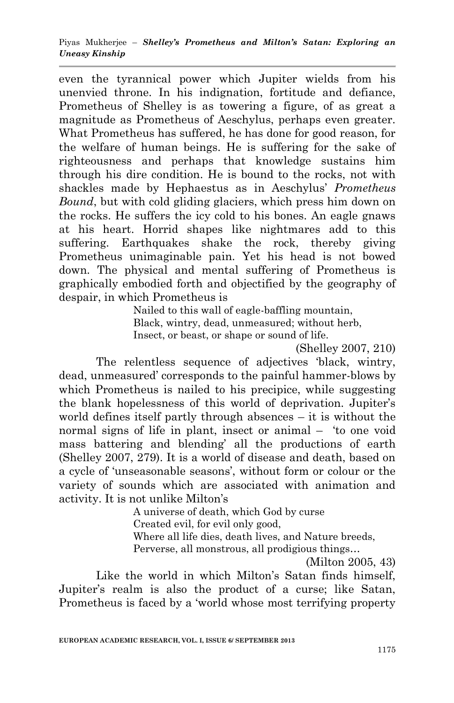even the tyrannical power which Jupiter wields from his unenvied throne. In his indignation, fortitude and defiance, Prometheus of Shelley is as towering a figure, of as great a magnitude as Prometheus of Aeschylus, perhaps even greater. What Prometheus has suffered, he has done for good reason, for the welfare of human beings. He is suffering for the sake of righteousness and perhaps that knowledge sustains him through his dire condition. He is bound to the rocks, not with shackles made by Hephaestus as in Aeschylus" *Prometheus Bound*, but with cold gliding glaciers, which press him down on the rocks. He suffers the icy cold to his bones. An eagle gnaws at his heart. Horrid shapes like nightmares add to this suffering. Earthquakes shake the rock, thereby giving Prometheus unimaginable pain. Yet his head is not bowed down. The physical and mental suffering of Prometheus is graphically embodied forth and objectified by the geography of despair, in which Prometheus is

> Nailed to this wall of eagle-baffling mountain, Black, wintry, dead, unmeasured; without herb, Insect, or beast, or shape or sound of life.

(Shelley 2007, 210)

The relentless sequence of adjectives "black, wintry, dead, unmeasured" corresponds to the painful hammer-blows by which Prometheus is nailed to his precipice, while suggesting the blank hopelessness of this world of deprivation. Jupiter's world defines itself partly through absences – it is without the normal signs of life in plant, insect or animal – "to one void mass battering and blending" all the productions of earth (Shelley 2007, 279). It is a world of disease and death, based on a cycle of 'unseasonable seasons', without form or colour or the variety of sounds which are associated with animation and activity. It is not unlike Milton"s

A universe of death, which God by curse

Created evil, for evil only good,

Where all life dies, death lives, and Nature breeds,

Perverse, all monstrous, all prodigious things…

(Milton 2005, 43)

Like the world in which Milton's Satan finds himself, Jupiter's realm is also the product of a curse; like Satan, Prometheus is faced by a "world whose most terrifying property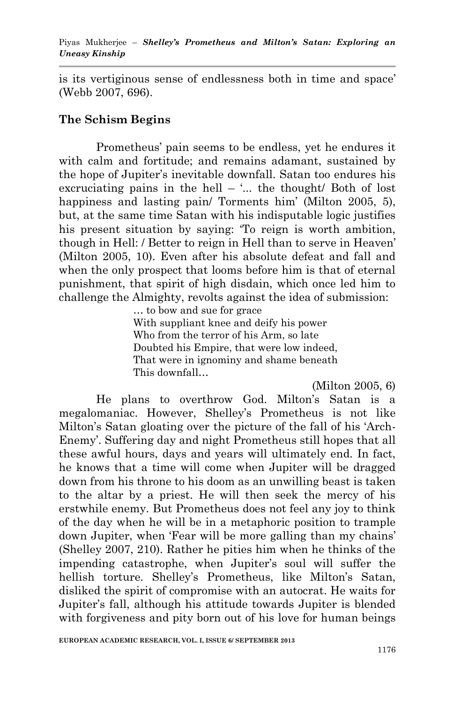is its vertiginous sense of endlessness both in time and space' (Webb 2007, 696).

#### **The Schism Begins**

Prometheus" pain seems to be endless, yet he endures it with calm and fortitude; and remains adamant, sustained by the hope of Jupiter"s inevitable downfall. Satan too endures his excruciating pains in the hell –  $\ldots$  the thought/ Both of lost happiness and lasting pain/ Torments him' (Milton 2005, 5), but, at the same time Satan with his indisputable logic justifies his present situation by saying: "To reign is worth ambition, though in Hell: / Better to reign in Hell than to serve in Heaven" (Milton 2005, 10). Even after his absolute defeat and fall and when the only prospect that looms before him is that of eternal punishment, that spirit of high disdain, which once led him to challenge the Almighty, revolts against the idea of submission:

> … to bow and sue for grace With suppliant knee and deify his power Who from the terror of his Arm, so late Doubted his Empire, that were low indeed, That were in ignominy and shame beneath This downfall…

> > (Milton 2005, 6)

He plans to overthrow God. Milton"s Satan is a megalomaniac. However, Shelley"s Prometheus is not like Milton"s Satan gloating over the picture of the fall of his "Arch-Enemy'. Suffering day and night Prometheus still hopes that all these awful hours, days and years will ultimately end. In fact, he knows that a time will come when Jupiter will be dragged down from his throne to his doom as an unwilling beast is taken to the altar by a priest. He will then seek the mercy of his erstwhile enemy. But Prometheus does not feel any joy to think of the day when he will be in a metaphoric position to trample down Jupiter, when 'Fear will be more galling than my chains' (Shelley 2007, 210). Rather he pities him when he thinks of the impending catastrophe, when Jupiter's soul will suffer the hellish torture. Shelley's Prometheus, like Milton's Satan, disliked the spirit of compromise with an autocrat. He waits for Jupiter"s fall, although his attitude towards Jupiter is blended with forgiveness and pity born out of his love for human beings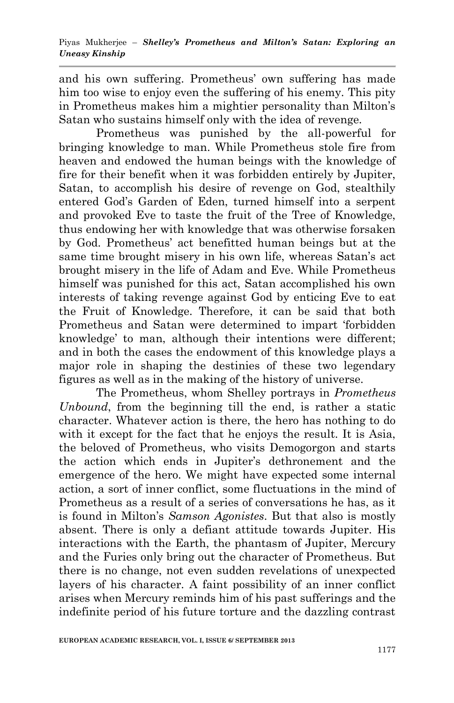and his own suffering. Prometheus" own suffering has made him too wise to enjoy even the suffering of his enemy. This pity in Prometheus makes him a mightier personality than Milton"s Satan who sustains himself only with the idea of revenge.

Prometheus was punished by the all-powerful for bringing knowledge to man. While Prometheus stole fire from heaven and endowed the human beings with the knowledge of fire for their benefit when it was forbidden entirely by Jupiter, Satan, to accomplish his desire of revenge on God, stealthily entered God"s Garden of Eden, turned himself into a serpent and provoked Eve to taste the fruit of the Tree of Knowledge, thus endowing her with knowledge that was otherwise forsaken by God. Prometheus" act benefitted human beings but at the same time brought misery in his own life, whereas Satan's act brought misery in the life of Adam and Eve. While Prometheus himself was punished for this act, Satan accomplished his own interests of taking revenge against God by enticing Eve to eat the Fruit of Knowledge. Therefore, it can be said that both Prometheus and Satan were determined to impart "forbidden knowledge" to man, although their intentions were different; and in both the cases the endowment of this knowledge plays a major role in shaping the destinies of these two legendary figures as well as in the making of the history of universe.

The Prometheus, whom Shelley portrays in *Prometheus Unbound*, from the beginning till the end, is rather a static character. Whatever action is there, the hero has nothing to do with it except for the fact that he enjoys the result. It is Asia, the beloved of Prometheus, who visits Demogorgon and starts the action which ends in Jupiter"s dethronement and the emergence of the hero. We might have expected some internal action, a sort of inner conflict, some fluctuations in the mind of Prometheus as a result of a series of conversations he has, as it is found in Milton"s *Samson Agonistes*. But that also is mostly absent. There is only a defiant attitude towards Jupiter. His interactions with the Earth, the phantasm of Jupiter, Mercury and the Furies only bring out the character of Prometheus. But there is no change, not even sudden revelations of unexpected layers of his character. A faint possibility of an inner conflict arises when Mercury reminds him of his past sufferings and the indefinite period of his future torture and the dazzling contrast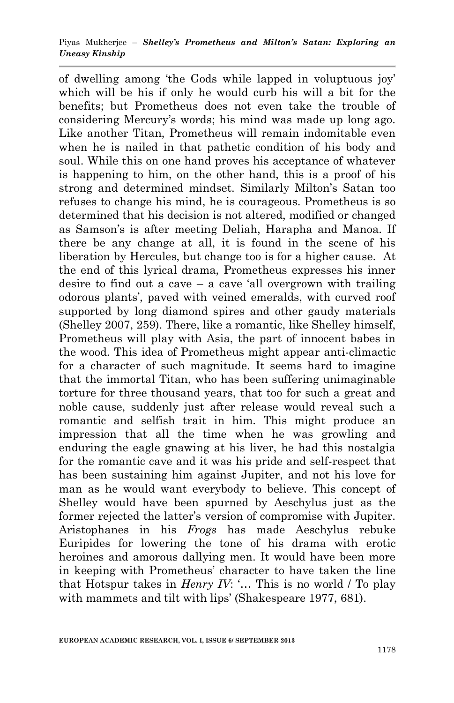of dwelling among "the Gods while lapped in voluptuous joy" which will be his if only he would curb his will a bit for the benefits; but Prometheus does not even take the trouble of considering Mercury"s words; his mind was made up long ago. Like another Titan, Prometheus will remain indomitable even when he is nailed in that pathetic condition of his body and soul. While this on one hand proves his acceptance of whatever is happening to him, on the other hand, this is a proof of his strong and determined mindset. Similarly Milton"s Satan too refuses to change his mind, he is courageous. Prometheus is so determined that his decision is not altered, modified or changed as Samson"s is after meeting Deliah, Harapha and Manoa. If there be any change at all, it is found in the scene of his liberation by Hercules, but change too is for a higher cause. At the end of this lyrical drama, Prometheus expresses his inner desire to find out a cave – a cave 'all overgrown with trailing odorous plants", paved with veined emeralds, with curved roof supported by long diamond spires and other gaudy materials (Shelley 2007, 259). There, like a romantic, like Shelley himself, Prometheus will play with Asia, the part of innocent babes in the wood. This idea of Prometheus might appear anti-climactic for a character of such magnitude. It seems hard to imagine that the immortal Titan, who has been suffering unimaginable torture for three thousand years, that too for such a great and noble cause, suddenly just after release would reveal such a romantic and selfish trait in him. This might produce an impression that all the time when he was growling and enduring the eagle gnawing at his liver, he had this nostalgia for the romantic cave and it was his pride and self-respect that has been sustaining him against Jupiter, and not his love for man as he would want everybody to believe. This concept of Shelley would have been spurned by Aeschylus just as the former rejected the latter's version of compromise with Jupiter. Aristophanes in his *Frogs* has made Aeschylus rebuke Euripides for lowering the tone of his drama with erotic heroines and amorous dallying men. It would have been more in keeping with Prometheus" character to have taken the line that Hotspur takes in *Henry IV*: "... This is no world / To play with mammets and tilt with lips' (Shakespeare 1977, 681).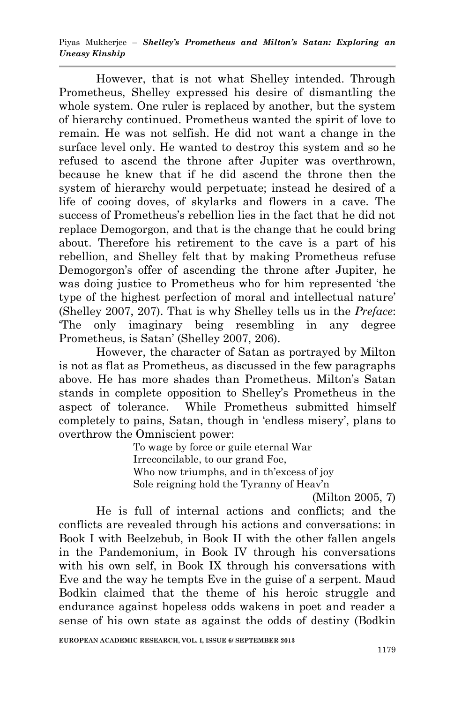Piyas Mukherjee – *Shelley's Prometheus and Milton's Satan: Exploring an Uneasy Kinship*

However, that is not what Shelley intended. Through Prometheus, Shelley expressed his desire of dismantling the whole system. One ruler is replaced by another, but the system of hierarchy continued. Prometheus wanted the spirit of love to remain. He was not selfish. He did not want a change in the surface level only. He wanted to destroy this system and so he refused to ascend the throne after Jupiter was overthrown, because he knew that if he did ascend the throne then the system of hierarchy would perpetuate; instead he desired of a life of cooing doves, of skylarks and flowers in a cave. The success of Prometheus"s rebellion lies in the fact that he did not replace Demogorgon, and that is the change that he could bring about. Therefore his retirement to the cave is a part of his rebellion, and Shelley felt that by making Prometheus refuse Demogorgon's offer of ascending the throne after Jupiter, he was doing justice to Prometheus who for him represented "the type of the highest perfection of moral and intellectual nature' (Shelley 2007, 207). That is why Shelley tells us in the *Preface*: "The only imaginary being resembling in any degree Prometheus, is Satan' (Shelley 2007, 206).

However, the character of Satan as portrayed by Milton is not as flat as Prometheus, as discussed in the few paragraphs above. He has more shades than Prometheus. Milton"s Satan stands in complete opposition to Shelley"s Prometheus in the aspect of tolerance. While Prometheus submitted himself completely to pains, Satan, though in 'endless misery', plans to overthrow the Omniscient power:

To wage by force or guile eternal War Irreconcilable, to our grand Foe, Who now triumphs, and in th'excess of joy Sole reigning hold the Tyranny of Heav'n

(Milton 2005, 7)

He is full of internal actions and conflicts; and the conflicts are revealed through his actions and conversations: in Book I with Beelzebub, in Book II with the other fallen angels in the Pandemonium, in Book IV through his conversations with his own self, in Book IX through his conversations with Eve and the way he tempts Eve in the guise of a serpent. Maud Bodkin claimed that the theme of his heroic struggle and endurance against hopeless odds wakens in poet and reader a sense of his own state as against the odds of destiny (Bodkin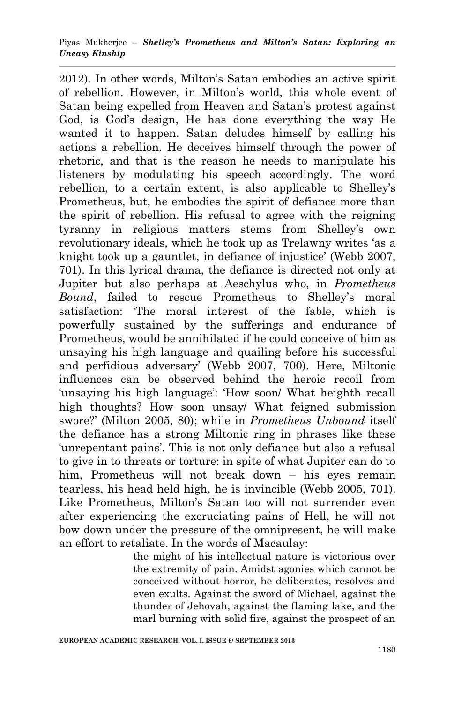2012). In other words, Milton"s Satan embodies an active spirit of rebellion. However, in Milton"s world, this whole event of Satan being expelled from Heaven and Satan"s protest against God, is God's design, He has done everything the way He wanted it to happen. Satan deludes himself by calling his actions a rebellion. He deceives himself through the power of rhetoric, and that is the reason he needs to manipulate his listeners by modulating his speech accordingly. The word rebellion, to a certain extent, is also applicable to Shelley"s Prometheus, but, he embodies the spirit of defiance more than the spirit of rebellion. His refusal to agree with the reigning tyranny in religious matters stems from Shelley's own revolutionary ideals, which he took up as Trelawny writes "as a knight took up a gauntlet, in defiance of injustice' (Webb 2007, 701). In this lyrical drama, the defiance is directed not only at Jupiter but also perhaps at Aeschylus who, in *Prometheus Bound*, failed to rescue Prometheus to Shelley's moral satisfaction: "The moral interest of the fable, which is powerfully sustained by the sufferings and endurance of Prometheus, would be annihilated if he could conceive of him as unsaying his high language and quailing before his successful and perfidious adversary" (Webb 2007, 700). Here, Miltonic influences can be observed behind the heroic recoil from 'unsaying his high language': 'How soon' What heighth recall high thoughts? How soon unsay/ What feigned submission swore?" (Milton 2005, 80); while in *Prometheus Unbound* itself the defiance has a strong Miltonic ring in phrases like these 'unrepentant pains'. This is not only defiance but also a refusal to give in to threats or torture: in spite of what Jupiter can do to him, Prometheus will not break down – his eyes remain tearless, his head held high, he is invincible (Webb 2005, 701). Like Prometheus, Milton"s Satan too will not surrender even after experiencing the excruciating pains of Hell, he will not bow down under the pressure of the omnipresent, he will make an effort to retaliate. In the words of Macaulay:

> the might of his intellectual nature is victorious over the extremity of pain. Amidst agonies which cannot be conceived without horror, he deliberates, resolves and even exults. Against the sword of Michael, against the thunder of Jehovah, against the flaming lake, and the marl burning with solid fire, against the prospect of an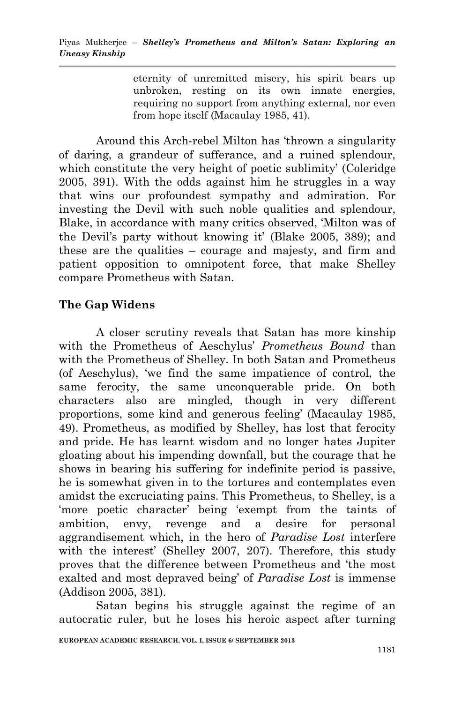eternity of unremitted misery, his spirit bears up unbroken, resting on its own innate energies, requiring no support from anything external, nor even from hope itself (Macaulay 1985, 41).

Around this Arch-rebel Milton has "thrown a singularity of daring, a grandeur of sufferance, and a ruined splendour, which constitute the very height of poetic sublimity' (Coleridge) 2005, 391). With the odds against him he struggles in a way that wins our profoundest sympathy and admiration. For investing the Devil with such noble qualities and splendour, Blake, in accordance with many critics observed, "Milton was of the Devil's party without knowing it' (Blake 2005, 389); and these are the qualities – courage and majesty, and firm and patient opposition to omnipotent force, that make Shelley compare Prometheus with Satan.

# **The Gap Widens**

A closer scrutiny reveals that Satan has more kinship with the Prometheus of Aeschylus" *Prometheus Bound* than with the Prometheus of Shelley. In both Satan and Prometheus (of Aeschylus), "we find the same impatience of control, the same ferocity, the same unconquerable pride. On both characters also are mingled, though in very different proportions, some kind and generous feeling" (Macaulay 1985, 49). Prometheus, as modified by Shelley, has lost that ferocity and pride. He has learnt wisdom and no longer hates Jupiter gloating about his impending downfall, but the courage that he shows in bearing his suffering for indefinite period is passive, he is somewhat given in to the tortures and contemplates even amidst the excruciating pains. This Prometheus, to Shelley, is a 'more poetic character' being 'exempt from the taints of ambition, envy, revenge and a desire for personal aggrandisement which, in the hero of *Paradise Lost* interfere with the interest' (Shelley 2007, 207). Therefore, this study proves that the difference between Prometheus and "the most exalted and most depraved being" of *Paradise Lost* is immense (Addison 2005, 381).

Satan begins his struggle against the regime of an autocratic ruler, but he loses his heroic aspect after turning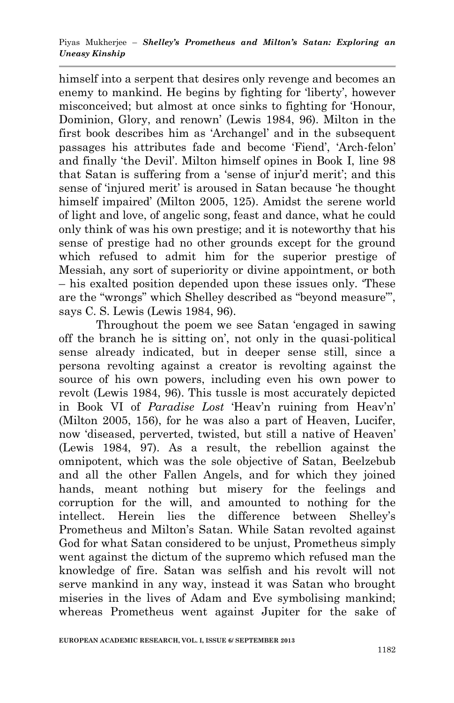#### Piyas Mukherjee – *Shelley's Prometheus and Milton's Satan: Exploring an Uneasy Kinship*

himself into a serpent that desires only revenge and becomes an enemy to mankind. He begins by fighting for 'liberty', however misconceived; but almost at once sinks to fighting for "Honour, Dominion, Glory, and renown" (Lewis 1984, 96). Milton in the first book describes him as "Archangel" and in the subsequent passages his attributes fade and become "Fiend", "Arch-felon" and finally "the Devil". Milton himself opines in Book I, line 98 that Satan is suffering from a 'sense of injur'd merit'; and this sense of 'injured merit' is aroused in Satan because 'he thought himself impaired" (Milton 2005, 125). Amidst the serene world of light and love, of angelic song, feast and dance, what he could only think of was his own prestige; and it is noteworthy that his sense of prestige had no other grounds except for the ground which refused to admit him for the superior prestige of Messiah, any sort of superiority or divine appointment, or both – his exalted position depended upon these issues only. "These are the "wrongs" which Shelley described as "beyond measure"", says C. S. Lewis (Lewis 1984, 96).

Throughout the poem we see Satan "engaged in sawing off the branch he is sitting on", not only in the quasi-political sense already indicated, but in deeper sense still, since a persona revolting against a creator is revolting against the source of his own powers, including even his own power to revolt (Lewis 1984, 96). This tussle is most accurately depicted in Book VI of *Paradise Lost* 'Heav'n ruining from Heav'n' (Milton 2005, 156), for he was also a part of Heaven, Lucifer, now "diseased, perverted, twisted, but still a native of Heaven" (Lewis 1984, 97). As a result, the rebellion against the omnipotent, which was the sole objective of Satan, Beelzebub and all the other Fallen Angels, and for which they joined hands, meant nothing but misery for the feelings and corruption for the will, and amounted to nothing for the intellect. Herein lies the difference between Shelley"s Prometheus and Milton"s Satan. While Satan revolted against God for what Satan considered to be unjust, Prometheus simply went against the dictum of the supremo which refused man the knowledge of fire. Satan was selfish and his revolt will not serve mankind in any way, instead it was Satan who brought miseries in the lives of Adam and Eve symbolising mankind; whereas Prometheus went against Jupiter for the sake of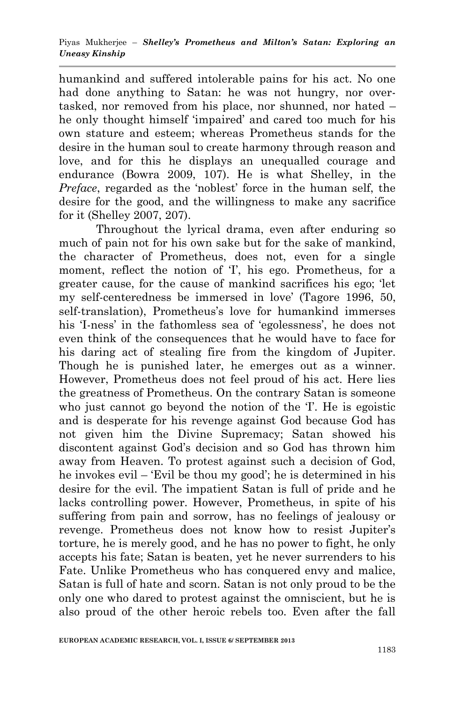humankind and suffered intolerable pains for his act. No one had done anything to Satan: he was not hungry, nor overtasked, nor removed from his place, nor shunned, nor hated – he only thought himself "impaired" and cared too much for his own stature and esteem; whereas Prometheus stands for the desire in the human soul to create harmony through reason and love, and for this he displays an unequalled courage and endurance (Bowra 2009, 107). He is what Shelley, in the *Preface*, regarded as the 'noblest' force in the human self, the desire for the good, and the willingness to make any sacrifice for it (Shelley 2007, 207).

Throughout the lyrical drama, even after enduring so much of pain not for his own sake but for the sake of mankind, the character of Prometheus, does not, even for a single moment, reflect the notion of T, his ego. Prometheus, for a greater cause, for the cause of mankind sacrifices his ego; "let my self-centeredness be immersed in love" (Tagore 1996, 50, self-translation). Prometheus's love for humankind immerses his 'I-ness' in the fathomless sea of 'egolessness', he does not even think of the consequences that he would have to face for his daring act of stealing fire from the kingdom of Jupiter. Though he is punished later, he emerges out as a winner. However, Prometheus does not feel proud of his act. Here lies the greatness of Prometheus. On the contrary Satan is someone who just cannot go beyond the notion of the T. He is egoistic and is desperate for his revenge against God because God has not given him the Divine Supremacy; Satan showed his discontent against God"s decision and so God has thrown him away from Heaven. To protest against such a decision of God, he invokes evil – 'Evil be thou my good'; he is determined in his desire for the evil. The impatient Satan is full of pride and he lacks controlling power. However, Prometheus, in spite of his suffering from pain and sorrow, has no feelings of jealousy or revenge. Prometheus does not know how to resist Jupiter"s torture, he is merely good, and he has no power to fight, he only accepts his fate; Satan is beaten, yet he never surrenders to his Fate. Unlike Prometheus who has conquered envy and malice, Satan is full of hate and scorn. Satan is not only proud to be the only one who dared to protest against the omniscient, but he is also proud of the other heroic rebels too. Even after the fall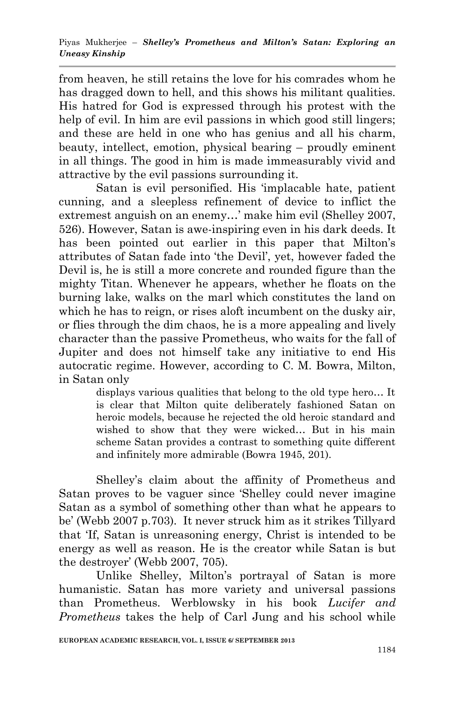from heaven, he still retains the love for his comrades whom he has dragged down to hell, and this shows his militant qualities. His hatred for God is expressed through his protest with the help of evil. In him are evil passions in which good still lingers; and these are held in one who has genius and all his charm, beauty, intellect, emotion, physical bearing – proudly eminent in all things. The good in him is made immeasurably vivid and attractive by the evil passions surrounding it.

Satan is evil personified. His "implacable hate, patient cunning, and a sleepless refinement of device to inflict the extremest anguish on an enemy...' make him evil (Shelley 2007, 526). However, Satan is awe-inspiring even in his dark deeds. It has been pointed out earlier in this paper that Milton's attributes of Satan fade into "the Devil", yet, however faded the Devil is, he is still a more concrete and rounded figure than the mighty Titan. Whenever he appears, whether he floats on the burning lake, walks on the marl which constitutes the land on which he has to reign, or rises a of tincumbent on the dusky air. or flies through the dim chaos, he is a more appealing and lively character than the passive Prometheus, who waits for the fall of Jupiter and does not himself take any initiative to end His autocratic regime. However, according to C. M. Bowra, Milton, in Satan only

displays various qualities that belong to the old type hero… It is clear that Milton quite deliberately fashioned Satan on heroic models, because he rejected the old heroic standard and wished to show that they were wicked… But in his main scheme Satan provides a contrast to something quite different and infinitely more admirable (Bowra 1945, 201).

Shelley"s claim about the affinity of Prometheus and Satan proves to be vaguer since "Shelley could never imagine Satan as a symbol of something other than what he appears to be" (Webb 2007 p.703). It never struck him as it strikes Tillyard that "If, Satan is unreasoning energy, Christ is intended to be energy as well as reason. He is the creator while Satan is but the destroyer' (Webb 2007, 705).

Unlike Shelley, Milton"s portrayal of Satan is more humanistic. Satan has more variety and universal passions than Prometheus. Werblowsky in his book *Lucifer and Prometheus* takes the help of Carl Jung and his school while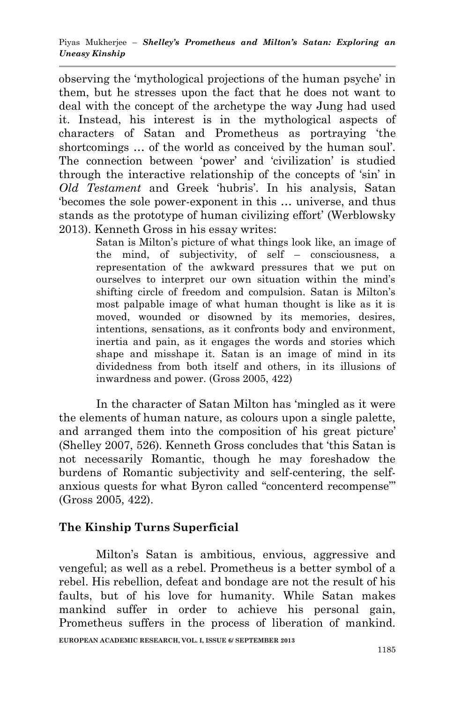observing the "mythological projections of the human psyche" in them, but he stresses upon the fact that he does not want to deal with the concept of the archetype the way Jung had used it. Instead, his interest is in the mythological aspects of characters of Satan and Prometheus as portraying "the shortcomings ... of the world as conceived by the human soul'. The connection between "power" and "civilization" is studied through the interactive relationship of the concepts of "sin" in *Old Testament* and Greek "hubris". In his analysis, Satan "becomes the sole power-exponent in this … universe, and thus stands as the prototype of human civilizing effort' (Werblowsky 2013). Kenneth Gross in his essay writes:

Satan is Milton"s picture of what things look like, an image of the mind, of subjectivity, of self – consciousness, a representation of the awkward pressures that we put on ourselves to interpret our own situation within the mind"s shifting circle of freedom and compulsion. Satan is Milton"s most palpable image of what human thought is like as it is moved, wounded or disowned by its memories, desires, intentions, sensations, as it confronts body and environment, inertia and pain, as it engages the words and stories which shape and misshape it. Satan is an image of mind in its dividedness from both itself and others, in its illusions of inwardness and power. (Gross 2005, 422)

In the character of Satan Milton has "mingled as it were the elements of human nature, as colours upon a single palette, and arranged them into the composition of his great picture' (Shelley 2007, 526). Kenneth Gross concludes that "this Satan is not necessarily Romantic, though he may foreshadow the burdens of Romantic subjectivity and self-centering, the selfanxious quests for what Byron called "concenterd recompense"" (Gross 2005, 422).

# **The Kinship Turns Superficial**

**EUROPEAN ACADEMIC RESEARCH, VOL. I, ISSUE 6/ SEPTEMBER 2013** Milton"s Satan is ambitious, envious, aggressive and vengeful; as well as a rebel. Prometheus is a better symbol of a rebel. His rebellion, defeat and bondage are not the result of his faults, but of his love for humanity. While Satan makes mankind suffer in order to achieve his personal gain, Prometheus suffers in the process of liberation of mankind.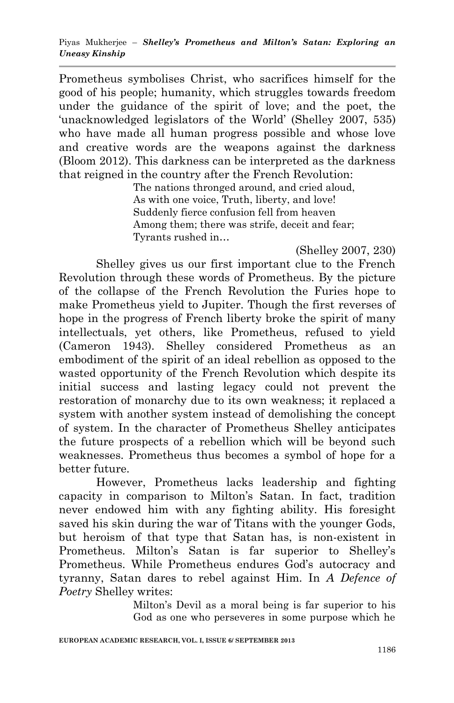Prometheus symbolises Christ, who sacrifices himself for the good of his people; humanity, which struggles towards freedom under the guidance of the spirit of love; and the poet, the 'unacknowledged legislators of the World' (Shelley 2007, 535) who have made all human progress possible and whose love and creative words are the weapons against the darkness (Bloom 2012). This darkness can be interpreted as the darkness that reigned in the country after the French Revolution:

The nations thronged around, and cried aloud, As with one voice, Truth, liberty, and love! Suddenly fierce confusion fell from heaven Among them; there was strife, deceit and fear; Tyrants rushed in…

(Shelley 2007, 230)

Shelley gives us our first important clue to the French Revolution through these words of Prometheus. By the picture of the collapse of the French Revolution the Furies hope to make Prometheus yield to Jupiter. Though the first reverses of hope in the progress of French liberty broke the spirit of many intellectuals, yet others, like Prometheus, refused to yield (Cameron 1943). Shelley considered Prometheus as an embodiment of the spirit of an ideal rebellion as opposed to the wasted opportunity of the French Revolution which despite its initial success and lasting legacy could not prevent the restoration of monarchy due to its own weakness; it replaced a system with another system instead of demolishing the concept of system. In the character of Prometheus Shelley anticipates the future prospects of a rebellion which will be beyond such weaknesses. Prometheus thus becomes a symbol of hope for a better future.

However, Prometheus lacks leadership and fighting capacity in comparison to Milton"s Satan. In fact, tradition never endowed him with any fighting ability. His foresight saved his skin during the war of Titans with the younger Gods, but heroism of that type that Satan has, is non-existent in Prometheus. Milton"s Satan is far superior to Shelley"s Prometheus. While Prometheus endures God's autocracy and tyranny, Satan dares to rebel against Him. In *A Defence of Poetry* Shelley writes:

> Milton"s Devil as a moral being is far superior to his God as one who perseveres in some purpose which he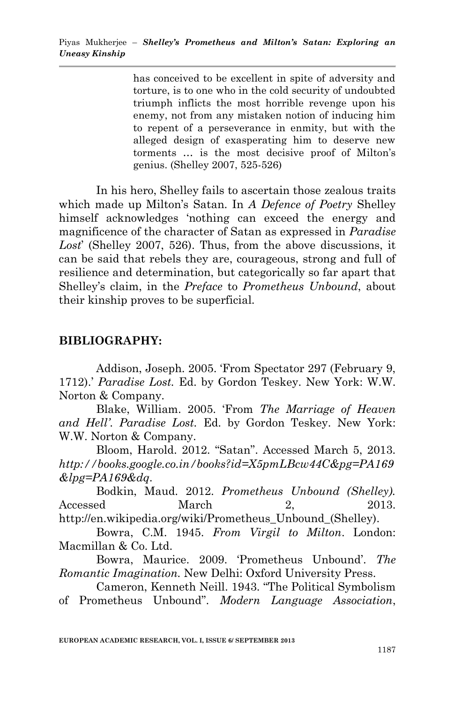has conceived to be excellent in spite of adversity and torture, is to one who in the cold security of undoubted triumph inflicts the most horrible revenge upon his enemy, not from any mistaken notion of inducing him to repent of a perseverance in enmity, but with the alleged design of exasperating him to deserve new torments … is the most decisive proof of Milton"s genius. (Shelley 2007, 525-526)

In his hero, Shelley fails to ascertain those zealous traits which made up Milton"s Satan. In *A Defence of Poetry* Shelley himself acknowledges "nothing can exceed the energy and magnificence of the character of Satan as expressed in *Paradise Lost*" (Shelley 2007, 526). Thus, from the above discussions, it can be said that rebels they are, courageous, strong and full of resilience and determination, but categorically so far apart that Shelley"s claim, in the *Preface* to *Prometheus Unbound*, about their kinship proves to be superficial.

#### **BIBLIOGRAPHY:**

Addison, Joseph. 2005. "From Spectator 297 (February 9, 1712)." *Paradise Lost.* Ed. by Gordon Teskey. New York: W.W. Norton & Company.

Blake, William. 2005. "From *The Marriage of Heaven and Hell'*. *Paradise Lost.* Ed. by Gordon Teskey. New York: W.W. Norton & Company.

Bloom, Harold. 2012. "Satan". Accessed March 5, 2013. *http://books.google.co.in/books?id=X5pmLBcw44C&pg=PA169 &lpg=PA169&dq*.

Bodkin, Maud. 2012. *Prometheus Unbound (Shelley).* Accessed March 2, 2013. http://en.wikipedia.org/wiki/Prometheus\_Unbound\_(Shelley).

Bowra, C.M. 1945. *From Virgil to Milton*. London: Macmillan & Co. Ltd.

Bowra, Maurice. 2009. "Prometheus Unbound". *The Romantic Imagination.* New Delhi: Oxford University Press.

Cameron, Kenneth Neill. 1943. "The Political Symbolism of Prometheus Unbound". *Modern Language Association*,